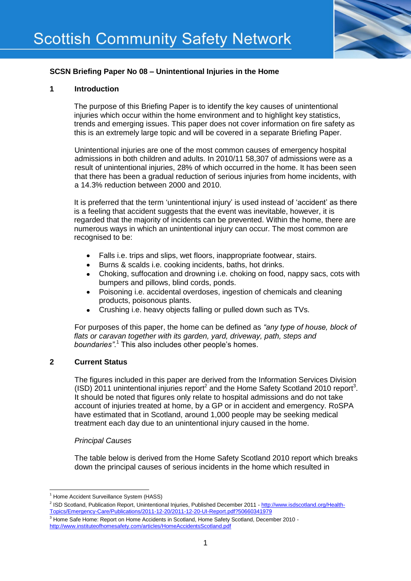# **SCSN Briefing Paper No 08 – Unintentional Injuries in the Home**

## **1 Introduction**

The purpose of this Briefing Paper is to identify the key causes of unintentional injuries which occur within the home environment and to highlight key statistics, trends and emerging issues. This paper does not cover information on fire safety as this is an extremely large topic and will be covered in a separate Briefing Paper.

Unintentional injuries are one of the most common causes of emergency hospital admissions in both children and adults. In 2010/11 58,307 of admissions were as a result of unintentional injuries, 28% of which occurred in the home. It has been seen that there has been a gradual reduction of serious injuries from home incidents, with a 14.3% reduction between 2000 and 2010.

It is preferred that the term 'unintentional injury' is used instead of 'accident' as there is a feeling that accident suggests that the event was inevitable, however, it is regarded that the majority of incidents can be prevented. Within the home, there are numerous ways in which an unintentional injury can occur. The most common are recognised to be:

- Falls i.e. trips and slips, wet floors, inappropriate footwear, stairs.
- Burns & scalds i.e. cooking incidents, baths, hot drinks.  $\bullet$
- Choking, suffocation and drowning i.e. choking on food, nappy sacs, cots with bumpers and pillows, blind cords, ponds.
- Poisoning i.e. accidental overdoses, ingestion of chemicals and cleaning products, poisonous plants.
- Crushing i.e. heavy objects falling or pulled down such as TVs.  $\bullet$

For purposes of this paper, the home can be defined as *"any type of house, block of flats or caravan together with its garden, yard, driveway, path, steps and boundaries"*. <sup>1</sup> This also includes other people's homes.

## **2 Current Status**

The figures included in this paper are derived from the Information Services Division (ISD) 2011 unintentional injuries report<sup>2</sup> and the Home Safety Scotland 2010 report<sup>3</sup>. It should be noted that figures only relate to hospital admissions and do not take account of injuries treated at home, by a GP or in accident and emergency. RoSPA have estimated that in Scotland, around 1,000 people may be seeking medical treatment each day due to an unintentional injury caused in the home.

## *Principal Causes*

The table below is derived from the Home Safety Scotland 2010 report which breaks down the principal causes of serious incidents in the home which resulted in

**<sup>.</sup>** <sup>1</sup> Home Accident Surveillance System (HASS)

<sup>&</sup>lt;sup>2</sup> ISD Scotland, Publication Report, Unintentional Injuries, Published December 2011 - [http://www.isdscotland.org/Health-](http://www.isdscotland.org/Health-Topics/Emergency-Care/Publications/2011-12-20/2011-12-20-UI-Report.pdf?50660341979)[Topics/Emergency-Care/Publications/2011-12-20/2011-12-20-UI-Report.pdf?50660341979](http://www.isdscotland.org/Health-Topics/Emergency-Care/Publications/2011-12-20/2011-12-20-UI-Report.pdf?50660341979)

<sup>&</sup>lt;sup>3</sup> Home Safe Home: Report on Home Accidents in Scotland, Home Safety Scotland, December 2010 <http://www.instituteofhomesafety.com/articles/HomeAccidentsScotland.pdf>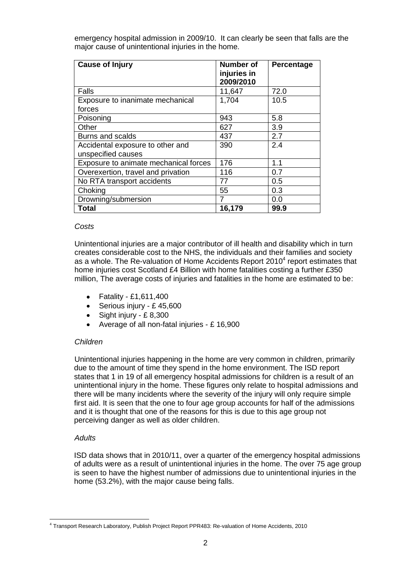emergency hospital admission in 2009/10. It can clearly be seen that falls are the major cause of unintentional injuries in the home.

| <b>Cause of Injury</b>                                 | <b>Number of</b><br>injuries in<br>2009/2010 | Percentage |
|--------------------------------------------------------|----------------------------------------------|------------|
| Falls                                                  | 11,647                                       | 72.0       |
| Exposure to inanimate mechanical<br>forces             | 1,704                                        | 10.5       |
| Poisoning                                              | 943                                          | 5.8        |
| Other                                                  | 627                                          | 3.9        |
| Burns and scalds                                       | 437                                          | 2.7        |
| Accidental exposure to other and<br>unspecified causes | 390                                          | 2.4        |
| Exposure to animate mechanical forces                  | 176                                          | 1.1        |
| Overexertion, travel and privation                     | 116                                          | 0.7        |
| No RTA transport accidents                             | 77                                           | 0.5        |
| Choking                                                | 55                                           | 0.3        |
| Drowning/submersion                                    | 7                                            | 0.0        |
| <b>Total</b>                                           | 16,179                                       | 99.9       |

#### *Costs*

Unintentional injuries are a major contributor of ill health and disability which in turn creates considerable cost to the NHS, the individuals and their families and society as a whole. The Re-valuation of Home Accidents Report 2010 $^4$  report estimates that home injuries cost Scotland £4 Billion with home fatalities costing a further £350 million, The average costs of injuries and fatalities in the home are estimated to be:

- Fatality £1,611,400
- Serious injury £45,600
- $\bullet$  Sight injury £8,300
- Average of all non-fatal injuries £ 16,900

## *Children*

Unintentional injuries happening in the home are very common in children, primarily due to the amount of time they spend in the home environment. The ISD report states that 1 in 19 of all emergency hospital admissions for children is a result of an unintentional injury in the home. These figures only relate to hospital admissions and there will be many incidents where the severity of the injury will only require simple first aid. It is seen that the one to four age group accounts for half of the admissions and it is thought that one of the reasons for this is due to this age group not perceiving danger as well as older children.

## *Adults*

ISD data shows that in 2010/11, over a quarter of the emergency hospital admissions of adults were as a result of unintentional injuries in the home. The over 75 age group is seen to have the highest number of admissions due to unintentional injuries in the home (53.2%), with the major cause being falls.

**<sup>.</sup>** 4 Transport Research Laboratory, Publish Project Report PPR483: Re-valuation of Home Accidents, 2010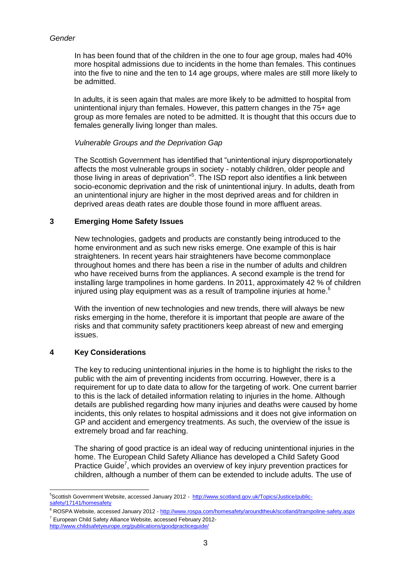## *Gender*

In has been found that of the children in the one to four age group, males had 40% more hospital admissions due to incidents in the home than females. This continues into the five to nine and the ten to 14 age groups, where males are still more likely to be admitted.

In adults, it is seen again that males are more likely to be admitted to hospital from unintentional injury than females. However, this pattern changes in the 75+ age group as more females are noted to be admitted. It is thought that this occurs due to females generally living longer than males.

## *Vulnerable Groups and the Deprivation Gap*

The Scottish Government has identified that "unintentional injury disproportionately affects the most vulnerable groups in society - notably children, older people and those living in areas of deprivation"<sup>5</sup>. The ISD report also identifies a link between socio-economic deprivation and the risk of unintentional injury. In adults, death from an unintentional injury are higher in the most deprived areas and for children in deprived areas death rates are double those found in more affluent areas.

## **3 Emerging Home Safety Issues**

New technologies, gadgets and products are constantly being introduced to the home environment and as such new risks emerge. One example of this is hair straighteners. In recent years hair straighteners have become commonplace throughout homes and there has been a rise in the number of adults and children who have received burns from the appliances. A second example is the trend for installing large trampolines in home gardens. In 2011, approximately 42 % of children injured using play equipment was as a result of trampoline injuries at home.<sup>6</sup>

With the invention of new technologies and new trends, there will always be new risks emerging in the home, therefore it is important that people are aware of the risks and that community safety practitioners keep abreast of new and emerging issues.

## **4 Key Considerations**

The key to reducing unintentional injuries in the home is to highlight the risks to the public with the aim of preventing incidents from occurring. However, there is a requirement for up to date data to allow for the targeting of work. One current barrier to this is the lack of detailed information relating to injuries in the home. Although details are published regarding how many injuries and deaths were caused by home incidents, this only relates to hospital admissions and it does not give information on GP and accident and emergency treatments. As such, the overview of the issue is extremely broad and far reaching.

The sharing of good practice is an ideal way of reducing unintentional injuries in the home. The European Child Safety Alliance has developed a Child Safety Good Practice Guide<sup>7</sup>, which provides an overview of key injury prevention practices for children, although a number of them can be extended to include adults. The use of

**<sup>.</sup>** <sup>5</sup>Scottish Government Website, accessed January 2012 - [http://www.scotland.gov.uk/Topics/Justice/public](http://www.scotland.gov.uk/Topics/Justice/public-safety/17141/homesafety)[safety/17141/homesafety](http://www.scotland.gov.uk/Topics/Justice/public-safety/17141/homesafety)

<sup>&</sup>lt;sup>6</sup> ROSPA Website, accessed January 2012 - <http://www.rospa.com/homesafety/aroundtheuk/scotland/trampoline-safety.aspx> <sup>7</sup> European Child Safety Alliance Website, accessed February 2012-